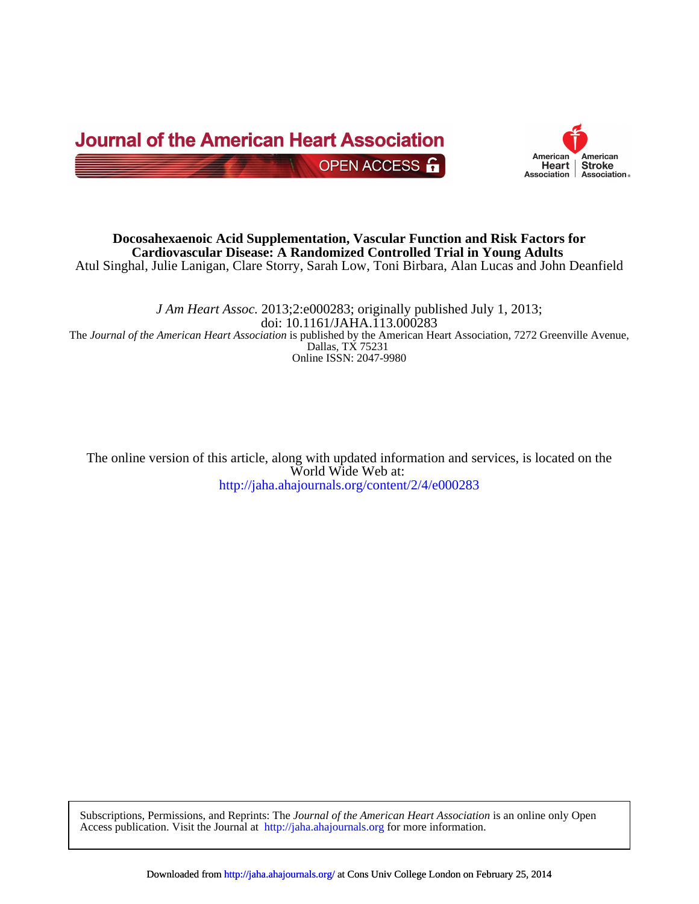



Atul Singhal, Julie Lanigan, Clare Storry, Sarah Low, Toni Birbara, Alan Lucas and John Deanfield **Cardiovascular Disease: A Randomized Controlled Trial in Young Adults Docosahexaenoic Acid Supplementation, Vascular Function and Risk Factors for**

Online ISSN: 2047-9980 Dallas, TX 75231 The *Journal of the American Heart Association* is published by the American Heart Association, 7272 Greenville Avenue, doi: 10.1161/JAHA.113.000283 *J Am Heart Assoc.* 2013;2:e000283; originally published July 1, 2013;

<http://jaha.ahajournals.org/content/2/4/e000283> World Wide Web at: The online version of this article, along with updated information and services, is located on the

Access publication. Visit the Journal at <http://jaha.ahajournals.org>[for mor](http://jaha.ahajournals.org/)e information. Subscriptions, Permissions, and Reprints: The *Journal of the American Heart Association* is an online only Open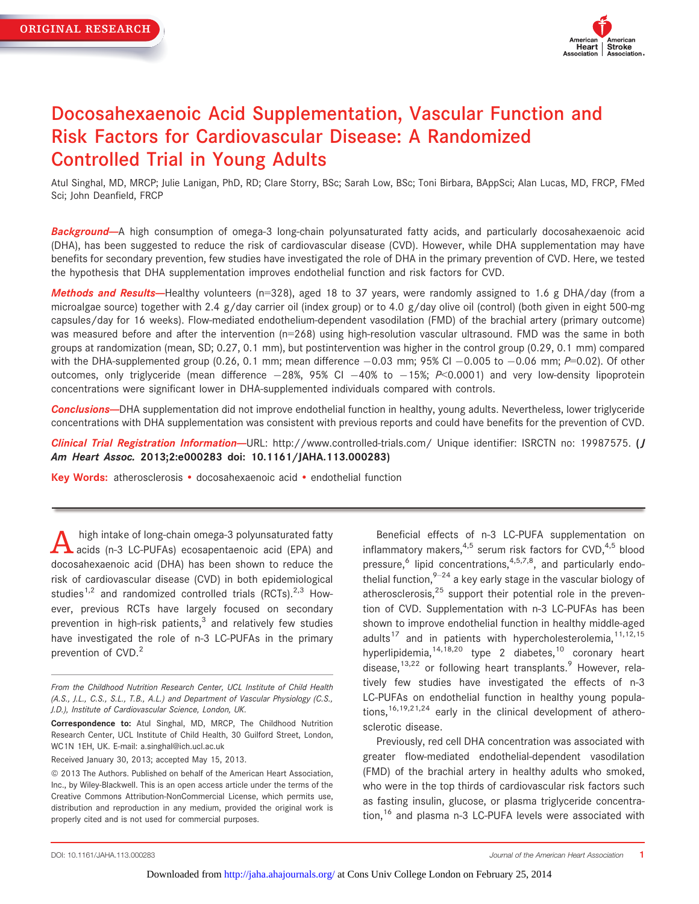

# Docosahexaenoic Acid Supplementation, Vascular Function and Risk Factors for Cardiovascular Disease: A Randomized Controlled Trial in Young Adults

Atul Singhal, MD, MRCP; Julie Lanigan, PhD, RD; Clare Storry, BSc; Sarah Low, BSc; Toni Birbara, BAppSci; Alan Lucas, MD, FRCP, FMed Sci; John Deanfield, FRCP

Background--A high consumption of omega-3 long-chain polyunsaturated fatty acids, and particularly docosahexaenoic acid (DHA), has been suggested to reduce the risk of cardiovascular disease (CVD). However, while DHA supplementation may have benefits for secondary prevention, few studies have investigated the role of DHA in the primary prevention of CVD. Here, we tested the hypothesis that DHA supplementation improves endothelial function and risk factors for CVD.

Methods and Results-Healthy volunteers (n=328), aged 18 to 37 years, were randomly assigned to 1.6 g DHA/day (from a microalgae source) together with 2.4 g/day carrier oil (index group) or to 4.0 g/day olive oil (control) (both given in eight 500-mg capsules/day for 16 weeks). Flow-mediated endothelium-dependent vasodilation (FMD) of the brachial artery (primary outcome) was measured before and after the intervention (n=268) using high-resolution vascular ultrasound. FMD was the same in both groups at randomization (mean, SD; 0.27, 0.1 mm), but postintervention was higher in the control group (0.29, 0.1 mm) compared with the DHA-supplemented group (0.26, 0.1 mm; mean difference  $-0.03$  mm; 95% CI  $-0.005$  to  $-0.06$  mm; P=0.02). Of other outcomes, only triglyceride (mean difference  $-28\%$ , 95% CI  $-40\%$  to  $-15\%$ ; P<0.0001) and very low-density lipoprotein concentrations were significant lower in DHA-supplemented individuals compared with controls.

Conclusions--DHA supplementation did not improve endothelial function in healthy, young adults. Nevertheless, lower triglyceride concentrations with DHA supplementation was consistent with previous reports and could have benefits for the prevention of CVD.

Clinical Trial Registration Information-URL: http://www.controlled-trials.com/ Unique identifier: ISRCTN no: 19987575. (J Am Heart Assoc. 2013;2:e000283 doi: 10.1161/JAHA.113.000283)

Key Words: atherosclerosis · docosahexaenoic acid · endothelial function

A high intake of long-chain omega-3 polyunsaturated fatty<br>acids (n-3 LC-PUFAs) ecosapentaenoic acid (EPA) and docosahexaenoic acid (DHA) has been shown to reduce the risk of cardiovascular disease (CVD) in both epidemiological studies<sup>1,2</sup> and randomized controlled trials (RCTs).<sup>2,3</sup> However, previous RCTs have largely focused on secondary prevention in high-risk patients, $3$  and relatively few studies have investigated the role of n-3 LC-PUFAs in the primary prevention of CVD.<sup>2</sup>

Received January 30, 2013; accepted May 15, 2013.

Beneficial effects of n-3 LC-PUFA supplementation on inflammatory makers,  $4.5$  serum risk factors for CVD,  $4.5$  blood pressure, $6$  lipid concentrations, $4,5,7,8$ , and particularly endothelial function,  $9-24$  a key early stage in the vascular biology of atherosclerosis, $25$  support their potential role in the prevention of CVD. Supplementation with n-3 LC-PUFAs has been shown to improve endothelial function in healthy middle-aged adults<sup>17</sup> and in patients with hypercholesterolemia,  $11,12,15$ hyperlipidemia,  $14,18,20$  type 2 diabetes,  $10$  coronary heart disease,  $13,22$  or following heart transplants. However, relatively few studies have investigated the effects of n-3 LC-PUFAs on endothelial function in healthy young populations,  $16,19,21,24$  early in the clinical development of atherosclerotic disease.

Previously, red cell DHA concentration was associated with greater flow-mediated endothelial-dependent vasodilation (FMD) of the brachial artery in healthy adults who smoked, who were in the top thirds of cardiovascular risk factors such as fasting insulin, glucose, or plasma triglyceride concentration,<sup>16</sup> and plasma n-3 LC-PUFA levels were associated with

From the Childhood Nutrition Research Center, UCL Institute of Child Health (A.S., J.L., C.S., S.L., T.B., A.L.) and Department of Vascular Physiology (C.S., J.D.), Institute of Cardiovascular Science, London, UK.

Correspondence to: Atul Singhal, MD, MRCP, The Childhood Nutrition Research Center, UCL Institute of Child Health, 30 Guilford Street, London, WC1N 1EH, UK. E-mail: a.singhal@ich.ucl.ac.uk

 $©$  2013 The Authors. Published on behalf of the American Heart Association, Inc., by Wiley-Blackwell. This is an open access article under the terms of the Creative Commons Attribution-NonCommercial License, which permits use, distribution and reproduction in any medium, provided the original work is properly cited and is not used for commercial purposes.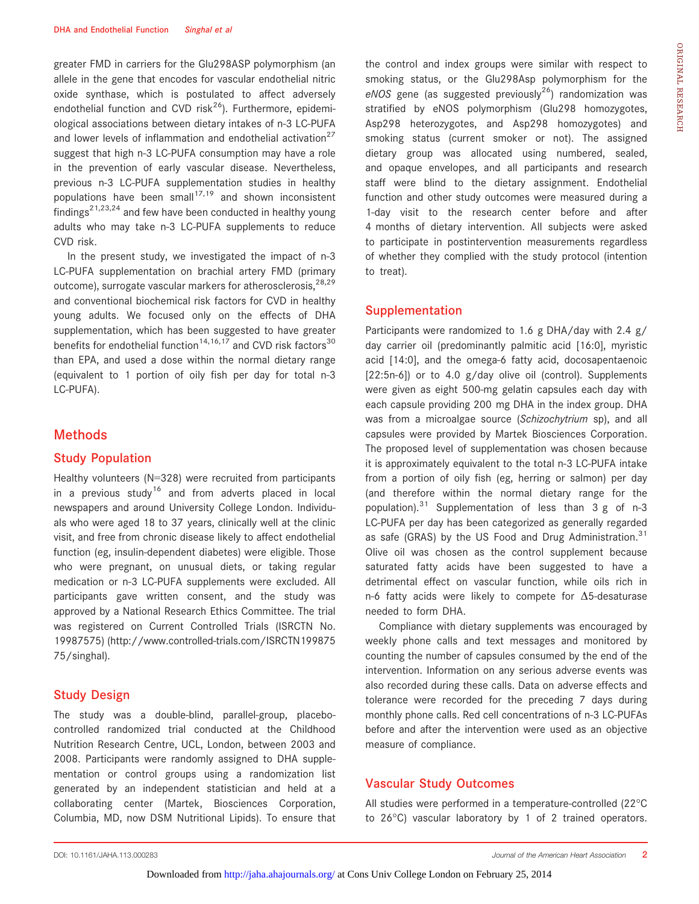greater FMD in carriers for the Glu298ASP polymorphism (an allele in the gene that encodes for vascular endothelial nitric oxide synthase, which is postulated to affect adversely endothelial function and CVD risk<sup>26</sup>). Furthermore, epidemiological associations between dietary intakes of n-3 LC-PUFA and lower levels of inflammation and endothelial activation<sup>27</sup> suggest that high n-3 LC-PUFA consumption may have a role in the prevention of early vascular disease. Nevertheless, previous n-3 LC-PUFA supplementation studies in healthy populations have been small<sup>17,19</sup> and shown inconsistent findings<sup>21,23,24</sup> and few have been conducted in healthy young adults who may take n-3 LC-PUFA supplements to reduce CVD risk.

In the present study, we investigated the impact of n-3 LC-PUFA supplementation on brachial artery FMD (primary outcome), surrogate vascular markers for atherosclerosis,  $28,29$ and conventional biochemical risk factors for CVD in healthy young adults. We focused only on the effects of DHA supplementation, which has been suggested to have greater benefits for endothelial function<sup>14,16,17</sup> and CVD risk factors<sup>30</sup> than EPA, and used a dose within the normal dietary range (equivalent to 1 portion of oily fish per day for total n-3 LC-PUFA).

## Methods

#### Study Population

Healthy volunteers (N=328) were recruited from participants in a previous study<sup>16</sup> and from adverts placed in local newspapers and around University College London. Individuals who were aged 18 to 37 years, clinically well at the clinic visit, and free from chronic disease likely to affect endothelial function (eg, insulin-dependent diabetes) were eligible. Those who were pregnant, on unusual diets, or taking regular medication or n-3 LC-PUFA supplements were excluded. All participants gave written consent, and the study was approved by a National Research Ethics Committee. The trial was registered on Current Controlled Trials (ISRCTN No. 19987575) (http://www.controlled-trials.com/ISRCTN199875 75/singhal).

#### Study Design

The study was a double-blind, parallel-group, placebocontrolled randomized trial conducted at the Childhood Nutrition Research Centre, UCL, London, between 2003 and 2008. Participants were randomly assigned to DHA supplementation or control groups using a randomization list generated by an independent statistician and held at a collaborating center (Martek, Biosciences Corporation, Columbia, MD, now DSM Nutritional Lipids). To ensure that the control and index groups were similar with respect to smoking status, or the Glu298Asp polymorphism for the eNOS gene (as suggested previously<sup>26</sup>) randomization was stratified by eNOS polymorphism (Glu298 homozygotes, Asp298 heterozygotes, and Asp298 homozygotes) and smoking status (current smoker or not). The assigned dietary group was allocated using numbered, sealed, and opaque envelopes, and all participants and research staff were blind to the dietary assignment. Endothelial function and other study outcomes were measured during a 1-day visit to the research center before and after 4 months of dietary intervention. All subjects were asked to participate in postintervention measurements regardless of whether they complied with the study protocol (intention to treat).

#### Supplementation

Participants were randomized to 1.6 g DHA/day with 2.4 g/ day carrier oil (predominantly palmitic acid [16:0], myristic acid [14:0], and the omega-6 fatty acid, docosapentaenoic [22:5n-6]) or to 4.0 g/day olive oil (control). Supplements were given as eight 500-mg gelatin capsules each day with each capsule providing 200 mg DHA in the index group. DHA was from a microalgae source (Schizochytrium sp), and all capsules were provided by Martek Biosciences Corporation. The proposed level of supplementation was chosen because it is approximately equivalent to the total n-3 LC-PUFA intake from a portion of oily fish (eg, herring or salmon) per day (and therefore within the normal dietary range for the population).<sup>31</sup> Supplementation of less than  $3 g$  of n-3 LC-PUFA per day has been categorized as generally regarded as safe (GRAS) by the US Food and Drug Administration. $31$ Olive oil was chosen as the control supplement because saturated fatty acids have been suggested to have a detrimental effect on vascular function, while oils rich in n-6 fatty acids were likely to compete for  $\Delta$ 5-desaturase needed to form DHA.

Compliance with dietary supplements was encouraged by weekly phone calls and text messages and monitored by counting the number of capsules consumed by the end of the intervention. Information on any serious adverse events was also recorded during these calls. Data on adverse effects and tolerance were recorded for the preceding 7 days during monthly phone calls. Red cell concentrations of n-3 LC-PUFAs before and after the intervention were used as an objective measure of compliance.

#### Vascular Study Outcomes

All studies were performed in a temperature-controlled (22°C to 26°C) vascular laboratory by 1 of 2 trained operators.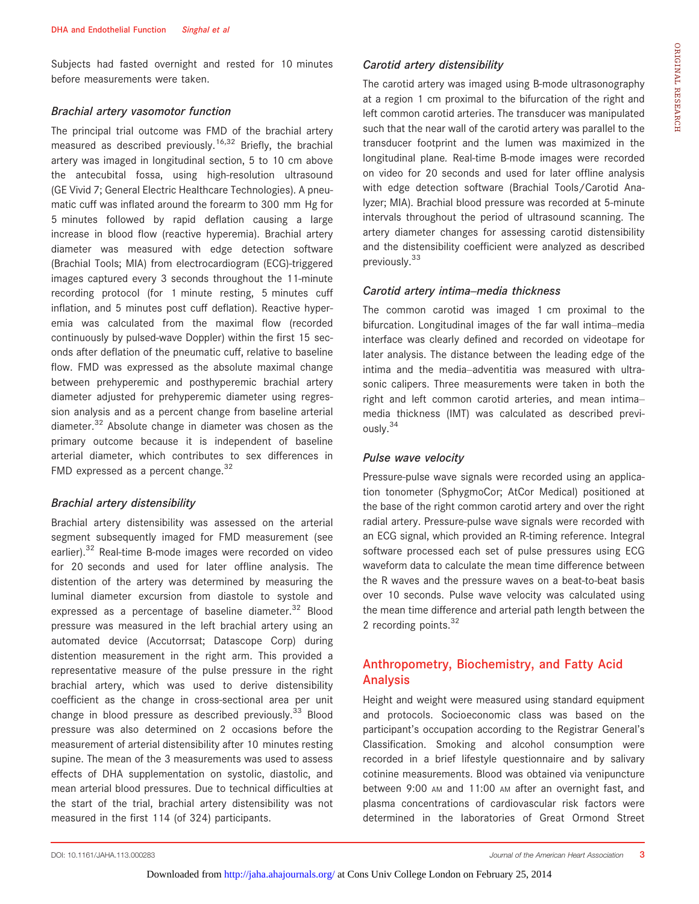Subjects had fasted overnight and rested for 10 minutes before measurements were taken.

#### Brachial artery vasomotor function

The principal trial outcome was FMD of the brachial artery measured as described previously.<sup>16,32</sup> Briefly, the brachial artery was imaged in longitudinal section, 5 to 10 cm above the antecubital fossa, using high-resolution ultrasound (GE Vivid 7; General Electric Healthcare Technologies). A pneumatic cuff was inflated around the forearm to 300 mm Hg for 5 minutes followed by rapid deflation causing a large increase in blood flow (reactive hyperemia). Brachial artery diameter was measured with edge detection software (Brachial Tools; MIA) from electrocardiogram (ECG)-triggered images captured every 3 seconds throughout the 11-minute recording protocol (for 1 minute resting, 5 minutes cuff inflation, and 5 minutes post cuff deflation). Reactive hyperemia was calculated from the maximal flow (recorded continuously by pulsed-wave Doppler) within the first 15 seconds after deflation of the pneumatic cuff, relative to baseline flow. FMD was expressed as the absolute maximal change between prehyperemic and posthyperemic brachial artery diameter adjusted for prehyperemic diameter using regression analysis and as a percent change from baseline arterial diameter.<sup>32</sup> Absolute change in diameter was chosen as the primary outcome because it is independent of baseline arterial diameter, which contributes to sex differences in FMD expressed as a percent change.  $32$ 

#### Brachial artery distensibility

Brachial artery distensibility was assessed on the arterial segment subsequently imaged for FMD measurement (see earlier).<sup>32</sup> Real-time B-mode images were recorded on video for 20 seconds and used for later offline analysis. The distention of the artery was determined by measuring the luminal diameter excursion from diastole to systole and expressed as a percentage of baseline diameter.<sup>32</sup> Blood pressure was measured in the left brachial artery using an automated device (Accutorrsat; Datascope Corp) during distention measurement in the right arm. This provided a representative measure of the pulse pressure in the right brachial artery, which was used to derive distensibility coefficient as the change in cross-sectional area per unit change in blood pressure as described previously.<sup>33</sup> Blood pressure was also determined on 2 occasions before the measurement of arterial distensibility after 10 minutes resting supine. The mean of the 3 measurements was used to assess effects of DHA supplementation on systolic, diastolic, and mean arterial blood pressures. Due to technical difficulties at the start of the trial, brachial artery distensibility was not measured in the first 114 (of 324) participants.

The carotid artery was imaged using B-mode ultrasonography at a region 1 cm proximal to the bifurcation of the right and left common carotid arteries. The transducer was manipulated such that the near wall of the carotid artery was parallel to the transducer footprint and the lumen was maximized in the longitudinal plane. Real-time B-mode images were recorded on video for 20 seconds and used for later offline analysis with edge detection software (Brachial Tools/Carotid Analyzer; MIA). Brachial blood pressure was recorded at 5-minute intervals throughout the period of ultrasound scanning. The artery diameter changes for assessing carotid distensibility and the distensibility coefficient were analyzed as described previously.<sup>33</sup>

#### Carotid artery intima–media thickness

The common carotid was imaged 1 cm proximal to the bifurcation. Longitudinal images of the far wall intima–media interface was clearly defined and recorded on videotape for later analysis. The distance between the leading edge of the intima and the media–adventitia was measured with ultrasonic calipers. Three measurements were taken in both the right and left common carotid arteries, and mean intima– media thickness (IMT) was calculated as described previously.<sup>34</sup>

#### Pulse wave velocity

Pressure-pulse wave signals were recorded using an application tonometer (SphygmoCor; AtCor Medical) positioned at the base of the right common carotid artery and over the right radial artery. Pressure-pulse wave signals were recorded with an ECG signal, which provided an R-timing reference. Integral software processed each set of pulse pressures using ECG waveform data to calculate the mean time difference between the R waves and the pressure waves on a beat-to-beat basis over 10 seconds. Pulse wave velocity was calculated using the mean time difference and arterial path length between the 2 recording points.  $32$ 

# Anthropometry, Biochemistry, and Fatty Acid Analysis

Height and weight were measured using standard equipment and protocols. Socioeconomic class was based on the participant's occupation according to the Registrar General's Classification. Smoking and alcohol consumption were recorded in a brief lifestyle questionnaire and by salivary cotinine measurements. Blood was obtained via venipuncture between 9:00 AM and 11:00 AM after an overnight fast, and plasma concentrations of cardiovascular risk factors were determined in the laboratories of Great Ormond Street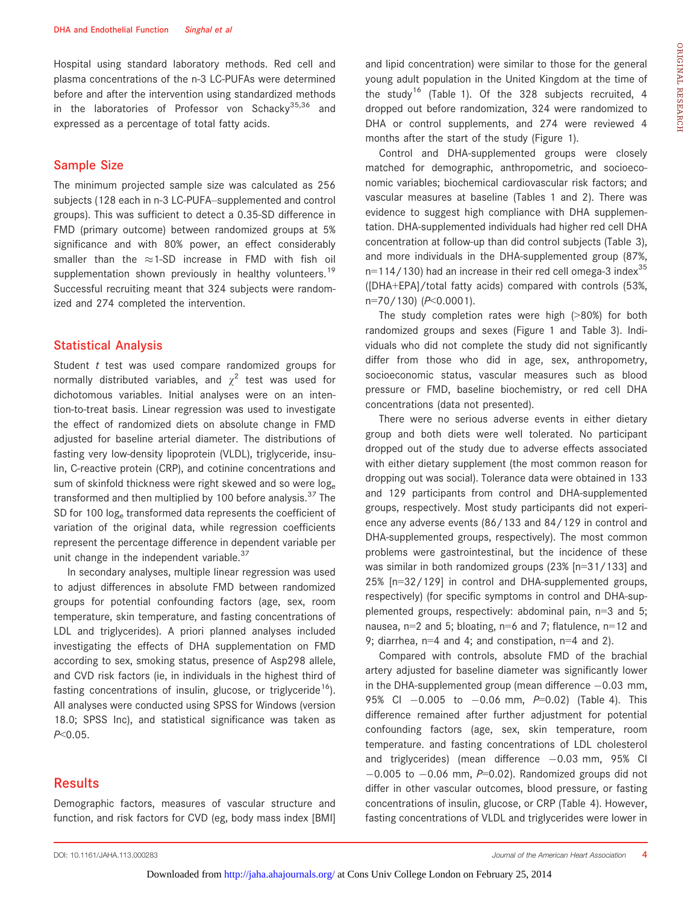Hospital using standard laboratory methods. Red cell and plasma concentrations of the n-3 LC-PUFAs were determined before and after the intervention using standardized methods in the laboratories of Professor von Schackv<sup>35,36</sup> and expressed as a percentage of total fatty acids.

#### Sample Size

The minimum projected sample size was calculated as 256 subjects (128 each in n-3 LC-PUFA–supplemented and control groups). This was sufficient to detect a 0.35-SD difference in FMD (primary outcome) between randomized groups at 5% significance and with 80% power, an effect considerably smaller than the  $\approx$  1-SD increase in FMD with fish oil supplementation shown previously in healthy volunteers.<sup>19</sup> Successful recruiting meant that 324 subjects were randomized and 274 completed the intervention.

#### Statistical Analysis

Student t test was used compare randomized groups for normally distributed variables, and  $\chi^2$  test was used for dichotomous variables. Initial analyses were on an intention-to-treat basis. Linear regression was used to investigate the effect of randomized diets on absolute change in FMD adjusted for baseline arterial diameter. The distributions of fasting very low-density lipoprotein (VLDL), triglyceride, insulin, C-reactive protein (CRP), and cotinine concentrations and sum of skinfold thickness were right skewed and so were loge transformed and then multiplied by 100 before analysis.  $37$  The SD for 100 log<sub>e</sub> transformed data represents the coefficient of variation of the original data, while regression coefficients represent the percentage difference in dependent variable per unit change in the independent variable. $37$ 

In secondary analyses, multiple linear regression was used to adjust differences in absolute FMD between randomized groups for potential confounding factors (age, sex, room temperature, skin temperature, and fasting concentrations of LDL and triglycerides). A priori planned analyses included investigating the effects of DHA supplementation on FMD according to sex, smoking status, presence of Asp298 allele, and CVD risk factors (ie, in individuals in the highest third of fasting concentrations of insulin, glucose, or triglyceride<sup>16</sup>). All analyses were conducted using SPSS for Windows (version 18.0; SPSS Inc), and statistical significance was taken as P<0.05.

## Results

Demographic factors, measures of vascular structure and function, and risk factors for CVD (eg, body mass index [BMI] and lipid concentration) were similar to those for the general young adult population in the United Kingdom at the time of the study<sup>16</sup> (Table 1). Of the 328 subjects recruited, 4 dropped out before randomization, 324 were randomized to DHA or control supplements, and 274 were reviewed 4 months after the start of the study (Figure 1).

Control and DHA-supplemented groups were closely matched for demographic, anthropometric, and socioeconomic variables; biochemical cardiovascular risk factors; and vascular measures at baseline (Tables 1 and 2). There was evidence to suggest high compliance with DHA supplementation. DHA-supplemented individuals had higher red cell DHA concentration at follow-up than did control subjects (Table 3), and more individuals in the DHA-supplemented group (87%,  $n=114/130$ ) had an increase in their red cell omega-3 index<sup>35</sup> ([DHA+EPA]/total fatty acids) compared with controls (53%, n=70/130) (P<0.0001).

The study completion rates were high (>80%) for both randomized groups and sexes (Figure 1 and Table 3). Individuals who did not complete the study did not significantly differ from those who did in age, sex, anthropometry, socioeconomic status, vascular measures such as blood pressure or FMD, baseline biochemistry, or red cell DHA concentrations (data not presented).

There were no serious adverse events in either dietary group and both diets were well tolerated. No participant dropped out of the study due to adverse effects associated with either dietary supplement (the most common reason for dropping out was social). Tolerance data were obtained in 133 and 129 participants from control and DHA-supplemented groups, respectively. Most study participants did not experience any adverse events (86/133 and 84/129 in control and DHA-supplemented groups, respectively). The most common problems were gastrointestinal, but the incidence of these was similar in both randomized groups (23% [n=31/133] and 25% [n=32/129] in control and DHA-supplemented groups, respectively) (for specific symptoms in control and DHA-supplemented groups, respectively: abdominal pain, n=3 and 5; nausea,  $n=2$  and 5; bloating,  $n=6$  and 7; flatulence,  $n=12$  and 9; diarrhea,  $n=4$  and 4; and constipation,  $n=4$  and 2).

Compared with controls, absolute FMD of the brachial artery adjusted for baseline diameter was significantly lower in the DHA-supplemented group (mean difference  $-0.03$  mm, 95% CI  $-0.005$  to  $-0.06$  mm,  $P=0.02$ ) (Table 4). This difference remained after further adjustment for potential confounding factors (age, sex, skin temperature, room temperature. and fasting concentrations of LDL cholesterol and triglycerides) (mean difference  $-0.03$  mm, 95% CI  $-0.005$  to  $-0.06$  mm,  $P=0.02$ ). Randomized groups did not differ in other vascular outcomes, blood pressure, or fasting concentrations of insulin, glucose, or CRP (Table 4). However, fasting concentrations of VLDL and triglycerides were lower in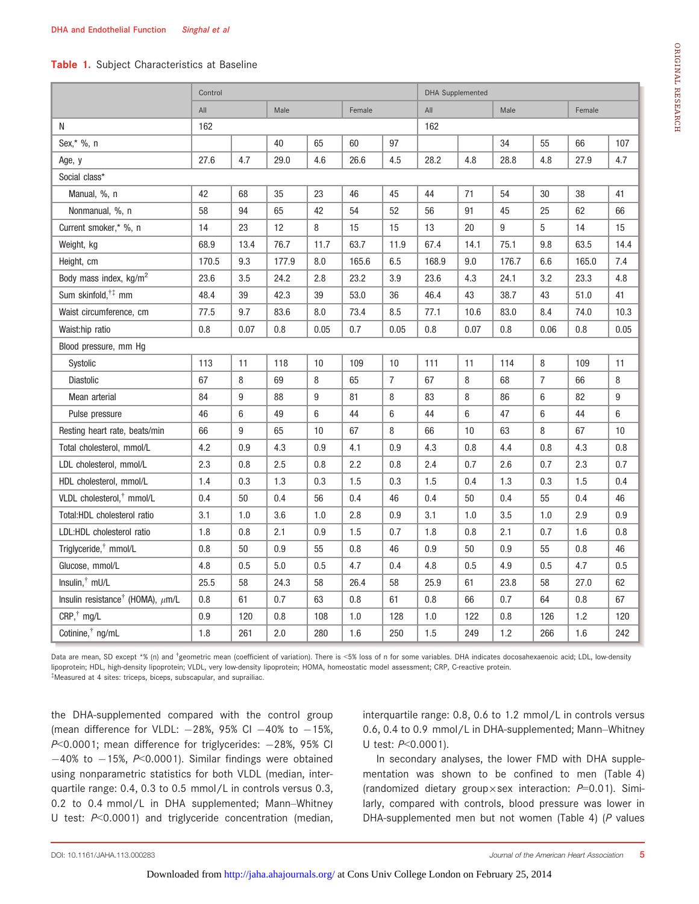#### Table 1. Subject Characteristics at Baseline

|                                                   | Control |      |       |      |        |                | <b>DHA Supplemented</b> |      |         |                |        |         |
|---------------------------------------------------|---------|------|-------|------|--------|----------------|-------------------------|------|---------|----------------|--------|---------|
|                                                   | All     |      | Male  |      | Female |                | All                     |      | Male    |                | Female |         |
| N                                                 | 162     |      |       |      |        |                | 162                     |      |         |                |        |         |
| Sex,* %, n                                        |         |      | 40    | 65   | 60     | 97             |                         |      | 34      | 55             | 66     | 107     |
| Age, y                                            | 27.6    | 4.7  | 29.0  | 4.6  | 26.6   | 4.5            | 28.2                    | 4.8  | 28.8    | 4.8            | 27.9   | 4.7     |
| Social class*                                     |         |      |       |      |        |                |                         |      |         |                |        |         |
| Manual, %, n                                      | 42      | 68   | 35    | 23   | 46     | 45             | 44                      | 71   | 54      | 30             | 38     | 41      |
| Nonmanual, %, n                                   | 58      | 94   | 65    | 42   | 54     | 52             | 56                      | 91   | 45      | 25             | 62     | 66      |
| Current smoker,* %, n                             | 14      | 23   | 12    | 8    | 15     | 15             | 13                      | 20   | 9       | 5              | 14     | 15      |
| Weight, kg                                        | 68.9    | 13.4 | 76.7  | 11.7 | 63.7   | 11.9           | 67.4                    | 14.1 | 75.1    | 9.8            | 63.5   | 14.4    |
| Height, cm                                        | 170.5   | 9.3  | 177.9 | 8.0  | 165.6  | 6.5            | 168.9                   | 9.0  | 176.7   | 6.6            | 165.0  | 7.4     |
| Body mass index, kg/m <sup>2</sup>                | 23.6    | 3.5  | 24.2  | 2.8  | 23.2   | 3.9            | 23.6                    | 4.3  | 24.1    | 3.2            | 23.3   | 4.8     |
| Sum skinfold, <sup>†‡</sup> mm                    | 48.4    | 39   | 42.3  | 39   | 53.0   | 36             | 46.4                    | 43   | 38.7    | 43             | 51.0   | 41      |
| Waist circumference, cm                           | 77.5    | 9.7  | 83.6  | 8.0  | 73.4   | 8.5            | 77.1                    | 10.6 | 83.0    | 8.4            | 74.0   | 10.3    |
| Waist:hip ratio                                   | 0.8     | 0.07 | 0.8   | 0.05 | 0.7    | 0.05           | 0.8                     | 0.07 | 0.8     | 0.06           | 0.8    | 0.05    |
| Blood pressure, mm Hg                             |         |      |       |      |        |                |                         |      |         |                |        |         |
| Systolic                                          | 113     | 11   | 118   | 10   | 109    | 10             | 111                     | 11   | 114     | 8              | 109    | 11      |
| Diastolic                                         | 67      | 8    | 69    | 8    | 65     | $\overline{7}$ | 67                      | 8    | 68      | $\overline{7}$ | 66     | 8       |
| Mean arterial                                     | 84      | 9    | 88    | 9    | 81     | 8              | 83                      | 8    | 86      | 6              | 82     | 9       |
| Pulse pressure                                    | 46      | 6    | 49    | 6    | 44     | 6              | 44                      | 6    | 47      | 6              | 44     | 6       |
| Resting heart rate, beats/min                     | 66      | 9    | 65    | 10   | 67     | 8              | 66                      | 10   | 63      | 8              | 67     | 10      |
| Total cholesterol, mmol/L                         | 4.2     | 0.9  | 4.3   | 0.9  | 4.1    | 0.9            | 4.3                     | 0.8  | 4.4     | 0.8            | 4.3    | $0.8\,$ |
| LDL cholesterol, mmol/L                           | 2.3     | 0.8  | 2.5   | 0.8  | 2.2    | 0.8            | 2.4                     | 0.7  | 2.6     | 0.7            | 2.3    | 0.7     |
| HDL cholesterol, mmol/L                           | 1.4     | 0.3  | 1.3   | 0.3  | 1.5    | 0.3            | 1.5                     | 0.4  | 1.3     | 0.3            | 1.5    | 0.4     |
| VLDL cholesterol, <sup>†</sup> mmol/L             | 0.4     | 50   | 0.4   | 56   | 0.4    | 46             | 0.4                     | 50   | 0.4     | 55             | 0.4    | 46      |
| Total: HDL cholesterol ratio                      | 3.1     | 1.0  | 3.6   | 1.0  | 2.8    | 0.9            | 3.1                     | 1.0  | 3.5     | 1.0            | 2.9    | 0.9     |
| LDL:HDL cholesterol ratio                         | 1.8     | 0.8  | 2.1   | 0.9  | 1.5    | 0.7            | 1.8                     | 0.8  | 2.1     | 0.7            | 1.6    | 0.8     |
| Triglyceride, <sup>†</sup> mmol/L                 | 0.8     | 50   | 0.9   | 55   | 0.8    | 46             | 0.9                     | 50   | 0.9     | 55             | 0.8    | 46      |
| Glucose, mmol/L                                   | 4.8     | 0.5  | 5.0   | 0.5  | 4.7    | 0.4            | 4.8                     | 0.5  | 4.9     | 0.5            | 4.7    | 0.5     |
| Insulin, <sup>†</sup> mU/L                        | 25.5    | 58   | 24.3  | 58   | 26.4   | 58             | 25.9                    | 61   | 23.8    | 58             | 27.0   | 62      |
| Insulin resistance <sup>†</sup> (HOMA), $\mu$ m/L | 0.8     | 61   | 0.7   | 63   | 0.8    | 61             | 0.8                     | 66   | 0.7     | 64             | 0.8    | 67      |
| $CRP,^{\dagger}$ mg/L                             | 0.9     | 120  | 0.8   | 108  | 1.0    | 128            | 1.0                     | 122  | $0.8\,$ | 126            | 1.2    | 120     |
| Cotinine, <sup>†</sup> ng/mL                      | 1.8     | 261  | 2.0   | 280  | 1.6    | 250            | 1.5                     | 249  | 1.2     | 266            | 1.6    | 242     |

Data are mean, SD except \*% (n) and <sup>†</sup>geometric mean (coefficient of variation). There is <5% loss of n for some variables. DHA indicates docosahexaenoic acid; LDL, low-density lipoprotein; HDL, high-density lipoprotein; VLDL, very low-density lipoprotein; HOMA, homeostatic model assessment; CRP, C-reactive protein. ‡ Measured at 4 sites: triceps, biceps, subscapular, and suprailiac.

the DHA-supplemented compared with the control group (mean difference for VLDL:  $-28\%$ , 95% CI  $-40\%$  to  $-15\%$ ,  $P<0.0001$ ; mean difference for triglycerides:  $-28%$ , 95% CI  $-40\%$  to  $-15\%$ , P<0.0001). Similar findings were obtained using nonparametric statistics for both VLDL (median, interquartile range: 0.4, 0.3 to 0.5 mmol/L in controls versus 0.3, 0.2 to 0.4 mmol/L in DHA supplemented; Mann–Whitney U test: P<0.0001) and triglyceride concentration (median, interquartile range: 0.8, 0.6 to 1.2 mmol/L in controls versus 0.6, 0.4 to 0.9 mmol/L in DHA-supplemented; Mann–Whitney U test: P<0.0001).

In secondary analyses, the lower FMD with DHA supplementation was shown to be confined to men (Table 4) (randomized dietary group×sex interaction:  $P=0.01$ ). Similarly, compared with controls, blood pressure was lower in DHA-supplemented men but not women (Table 4) (P values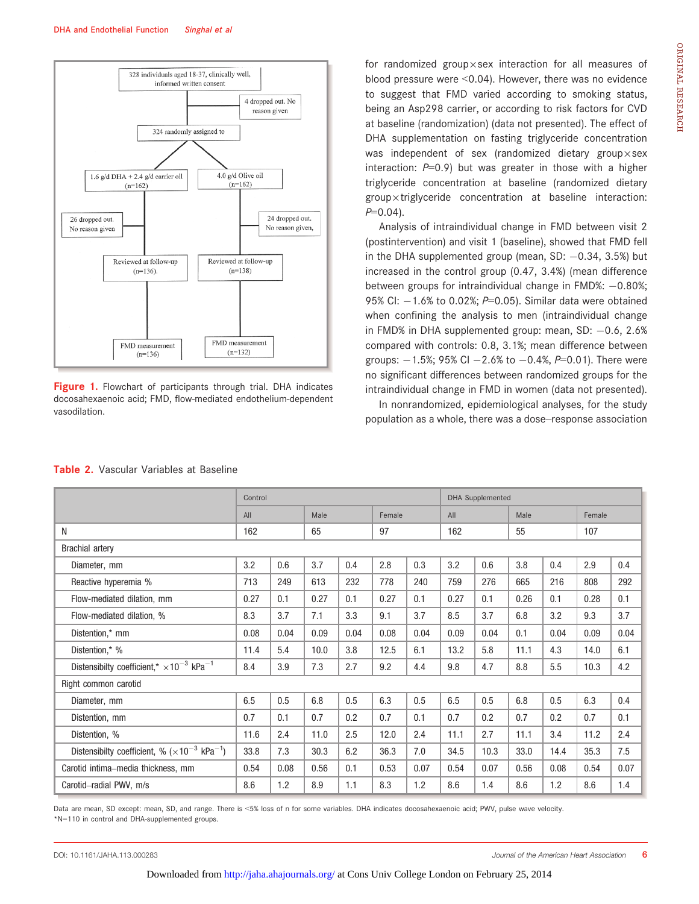

Figure 1. Flowchart of participants through trial. DHA indicates docosahexaenoic acid; FMD, flow-mediated endothelium-dependent vasodilation.

for randomized group $\times$ sex interaction for all measures of blood pressure were <0.04). However, there was no evidence to suggest that FMD varied according to smoking status, being an Asp298 carrier, or according to risk factors for CVD at baseline (randomization) (data not presented). The effect of DHA supplementation on fasting triglyceride concentration was independent of sex (randomized dietary group $\times$ sex interaction:  $P=0.9$ ) but was greater in those with a higher triglyceride concentration at baseline (randomized dietary  $g$ roup $\times$ triglyceride concentration at baseline interaction:  $P=0.04$ ).

Analysis of intraindividual change in FMD between visit 2 (postintervention) and visit 1 (baseline), showed that FMD fell in the DHA supplemented group (mean, SD:  $-0.34$ , 3.5%) but increased in the control group (0.47, 3.4%) (mean difference between groups for intraindividual change in FMD%:  $-0.80%$ ; 95% CI:  $-1.6%$  to 0.02%; P=0.05). Similar data were obtained when confining the analysis to men (intraindividual change in FMD% in DHA supplemented group: mean, SD:  $-0.6$ , 2.6% compared with controls: 0.8, 3.1%; mean difference between groups:  $-1.5\%$ ; 95% CI  $-2.6\%$  to  $-0.4\%$ , P=0.01). There were no significant differences between randomized groups for the intraindividual change in FMD in women (data not presented).

In nonrandomized, epidemiological analyses, for the study population as a whole, there was a dose–response association

|                                                                         | Control |      |      |      |        |      |      | <b>DHA Supplemented</b> |      |      |        |      |
|-------------------------------------------------------------------------|---------|------|------|------|--------|------|------|-------------------------|------|------|--------|------|
|                                                                         | All     |      | Male |      | Female |      | All  |                         | Male |      | Female |      |
| N                                                                       | 162     |      | 65   |      | 97     |      | 162  |                         | 55   |      | 107    |      |
| <b>Brachial artery</b>                                                  |         |      |      |      |        |      |      |                         |      |      |        |      |
| Diameter, mm                                                            | 3.2     | 0.6  | 3.7  | 0.4  | 2.8    | 0.3  | 3.2  | 0.6                     | 3.8  | 0.4  | 2.9    | 0.4  |
| Reactive hyperemia %                                                    | 713     | 249  | 613  | 232  | 778    | 240  | 759  | 276                     | 665  | 216  | 808    | 292  |
| Flow-mediated dilation, mm                                              | 0.27    | 0.1  | 0.27 | 0.1  | 0.27   | 0.1  | 0.27 | 0.1                     | 0.26 | 0.1  | 0.28   | 0.1  |
| Flow-mediated dilation, %                                               | 8.3     | 3.7  | 7.1  | 3.3  | 9.1    | 3.7  | 8.5  | 3.7                     | 6.8  | 3.2  | 9.3    | 3.7  |
| Distention,* mm                                                         | 0.08    | 0.04 | 0.09 | 0.04 | 0.08   | 0.04 | 0.09 | 0.04                    | 0.1  | 0.04 | 0.09   | 0.04 |
| Distention,* %                                                          | 11.4    | 5.4  | 10.0 | 3.8  | 12.5   | 6.1  | 13.2 | 5.8                     | 11.1 | 4.3  | 14.0   | 6.1  |
| Distensibilty coefficient,* $\times$ 10 <sup>-3</sup> kPa <sup>-1</sup> | 8.4     | 3.9  | 7.3  | 2.7  | 9.2    | 4.4  | 9.8  | 4.7                     | 8.8  | 5.5  | 10.3   | 4.2  |
| Right common carotid                                                    |         |      |      |      |        |      |      |                         |      |      |        |      |
| Diameter, mm                                                            | 6.5     | 0.5  | 6.8  | 0.5  | 6.3    | 0.5  | 6.5  | 0.5                     | 6.8  | 0.5  | 6.3    | 0.4  |
| Distention, mm                                                          | 0.7     | 0.1  | 0.7  | 0.2  | 0.7    | 0.1  | 0.7  | 0.2                     | 0.7  | 0.2  | 0.7    | 0.1  |
| Distention, %                                                           | 11.6    | 2.4  | 11.0 | 2.5  | 12.0   | 2.4  | 11.1 | 2.7                     | 11.1 | 3.4  | 11.2   | 2.4  |
| Distensibilty coefficient, % $(\times 10^{-3} \text{ kPa}^{-1})$        | 33.8    | 7.3  | 30.3 | 6.2  | 36.3   | 7.0  | 34.5 | 10.3                    | 33.0 | 14.4 | 35.3   | 7.5  |
| Carotid intima–media thickness, mm                                      | 0.54    | 0.08 | 0.56 | 0.1  | 0.53   | 0.07 | 0.54 | 0.07                    | 0.56 | 0.08 | 0.54   | 0.07 |
| Carotid-radial PWV, m/s                                                 | 8.6     | 1.2  | 8.9  | 1.1  | 8.3    | 1.2  | 8.6  | 1.4                     | 8.6  | 1.2  | 8.6    | 1.4  |

#### Table 2. Vascular Variables at Baseline

Data are mean, SD except: mean, SD, and range. There is <5% loss of n for some variables. DHA indicates docosahexaenoic acid; PWV, pulse wave velocity. \*N=110 in control and DHA-supplemented groups.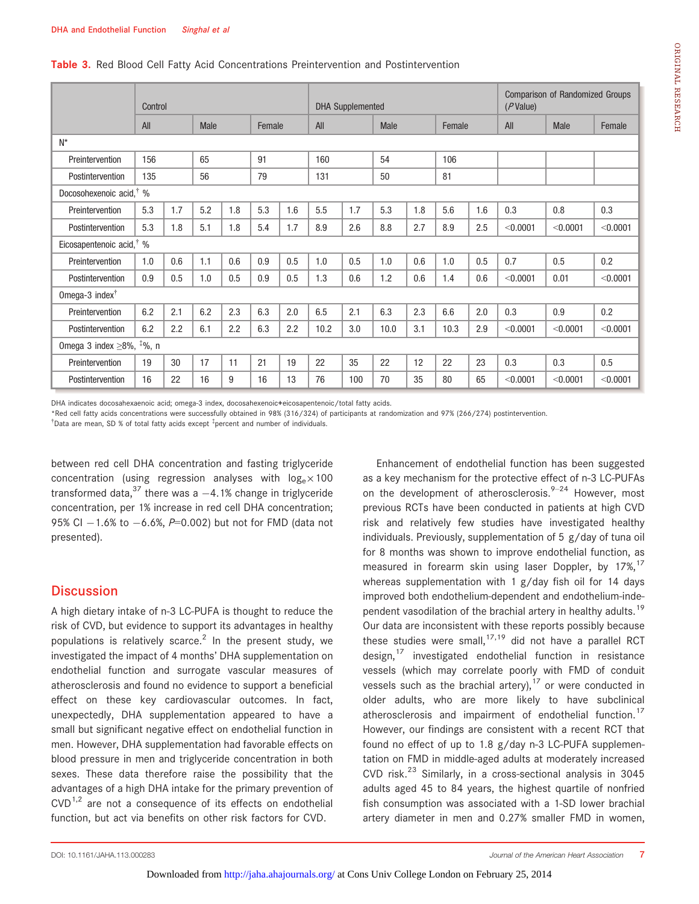#### Table 3. Red Blood Cell Fatty Acid Concentrations Preintervention and Postintervention

|                                             | Control |     |             |     |        |     |      | <b>DHA Supplemented</b> |             |     |        |     | $(P$ Value) | <b>Comparison of Randomized Groups</b> |          |
|---------------------------------------------|---------|-----|-------------|-----|--------|-----|------|-------------------------|-------------|-----|--------|-----|-------------|----------------------------------------|----------|
|                                             | All     |     | <b>Male</b> |     | Female |     | All  |                         | <b>Male</b> |     | Female |     | All         | <b>Male</b>                            | Female   |
| $N^*$                                       |         |     |             |     |        |     |      |                         |             |     |        |     |             |                                        |          |
| Preintervention                             | 156     |     | 65          |     | 91     |     | 160  |                         | 54          |     | 106    |     |             |                                        |          |
| Postintervention                            | 135     |     | 56          |     | 79     |     | 131  |                         | 50          |     | 81     |     |             |                                        |          |
| Docosohexenoic acid, <sup>†</sup> %         |         |     |             |     |        |     |      |                         |             |     |        |     |             |                                        |          |
| Preintervention                             | 5.3     | 1.7 | 5.2         | 1.8 | 5.3    | 1.6 | 5.5  | 1.7                     | 5.3         | 1.8 | 5.6    | 1.6 | 0.3         | 0.8                                    | 0.3      |
| Postintervention                            | 5.3     | 1.8 | 5.1         | 1.8 | 5.4    | 1.7 | 8.9  | 2.6                     | 8.8         | 2.7 | 8.9    | 2.5 | < 0.0001    | < 0.0001                               | < 0.0001 |
| Eicosapentenoic acid, $\frac{4}{3}$ %       |         |     |             |     |        |     |      |                         |             |     |        |     |             |                                        |          |
| Preintervention                             | 1.0     | 0.6 | 1.1         | 0.6 | 0.9    | 0.5 | 1.0  | 0.5                     | 1.0         | 0.6 | 1.0    | 0.5 | 0.7         | 0.5                                    | 0.2      |
| Postintervention                            | 0.9     | 0.5 | 1.0         | 0.5 | 0.9    | 0.5 | 1.3  | 0.6                     | 1.2         | 0.6 | 1.4    | 0.6 | < 0.0001    | 0.01                                   | < 0.0001 |
| Omega-3 index $\dagger$                     |         |     |             |     |        |     |      |                         |             |     |        |     |             |                                        |          |
| Preintervention                             | 6.2     | 2.1 | 6.2         | 2.3 | 6.3    | 2.0 | 6.5  | 2.1                     | 6.3         | 2.3 | 6.6    | 2.0 | 0.3         | 0.9                                    | 0.2      |
| Postintervention                            | 6.2     | 2.2 | 6.1         | 2.2 | 6.3    | 2.2 | 10.2 | 3.0                     | 10.0        | 3.1 | 10.3   | 2.9 | < 0.0001    | < 0.0001                               | < 0.0001 |
| Omega 3 index $\geq$ 8%, $\frac{1}{4}$ %, n |         |     |             |     |        |     |      |                         |             |     |        |     |             |                                        |          |
| Preintervention                             | 19      | 30  | 17          | 11  | 21     | 19  | 22   | 35                      | 22          | 12  | 22     | 23  | 0.3         | 0.3                                    | 0.5      |
| Postintervention                            | 16      | 22  | 16          | 9   | 16     | 13  | 76   | 100                     | 70          | 35  | 80     | 65  | < 0.0001    | < 0.0001                               | < 0.0001 |

DHA indicates docosahexaenoic acid; omega-3 index, docosahexenoic+eicosapentenoic/total fatty acids.

\*Red cell fatty acids concentrations were successfully obtained in 98% (316/324) of participants at randomization and 97% (266/274) postintervention.

<sup>†</sup>Data are mean, SD % of total fatty acids except <sup>‡</sup>percent and number of individuals.

between red cell DHA concentration and fasting triglyceride concentration (using regression analyses with  $log_e \times 100$ transformed data,<sup>37</sup> there was a  $-4.1%$  change in triglyceride concentration, per 1% increase in red cell DHA concentration; 95% CI  $-1.6$ % to  $-6.6$ %,  $P=0.002$ ) but not for FMD (data not presented).

# **Discussion**

A high dietary intake of n-3 LC-PUFA is thought to reduce the risk of CVD, but evidence to support its advantages in healthy populations is relatively scarce.<sup>2</sup> In the present study, we investigated the impact of 4 months' DHA supplementation on endothelial function and surrogate vascular measures of atherosclerosis and found no evidence to support a beneficial effect on these key cardiovascular outcomes. In fact, unexpectedly, DHA supplementation appeared to have a small but significant negative effect on endothelial function in men. However, DHA supplementation had favorable effects on blood pressure in men and triglyceride concentration in both sexes. These data therefore raise the possibility that the advantages of a high DHA intake for the primary prevention of  $CVD$ <sup>1,2</sup> are not a consequence of its effects on endothelial function, but act via benefits on other risk factors for CVD.

Enhancement of endothelial function has been suggested as a key mechanism for the protective effect of n-3 LC-PUFAs on the development of atherosclerosis.<sup>9-24</sup> However, most previous RCTs have been conducted in patients at high CVD risk and relatively few studies have investigated healthy individuals. Previously, supplementation of 5 g/day of tuna oil for 8 months was shown to improve endothelial function, as measured in forearm skin using laser Doppler, by  $17\%,$ <sup>17</sup> whereas supplementation with 1 g/day fish oil for 14 days improved both endothelium-dependent and endothelium-independent vasodilation of the brachial artery in healthy adults.<sup>19</sup> Our data are inconsistent with these reports possibly because these studies were small,  $17,19$  did not have a parallel RCT design,<sup>17</sup> investigated endothelial function in resistance vessels (which may correlate poorly with FMD of conduit vessels such as the brachial artery),<sup>17</sup> or were conducted in older adults, who are more likely to have subclinical atherosclerosis and impairment of endothelial function.<sup>17</sup> However, our findings are consistent with a recent RCT that found no effect of up to 1.8 g/day n-3 LC-PUFA supplementation on FMD in middle-aged adults at moderately increased CVD risk. $^{23}$  Similarly, in a cross-sectional analysis in 3045 adults aged 45 to 84 years, the highest quartile of nonfried fish consumption was associated with a 1-SD lower brachial artery diameter in men and 0.27% smaller FMD in women,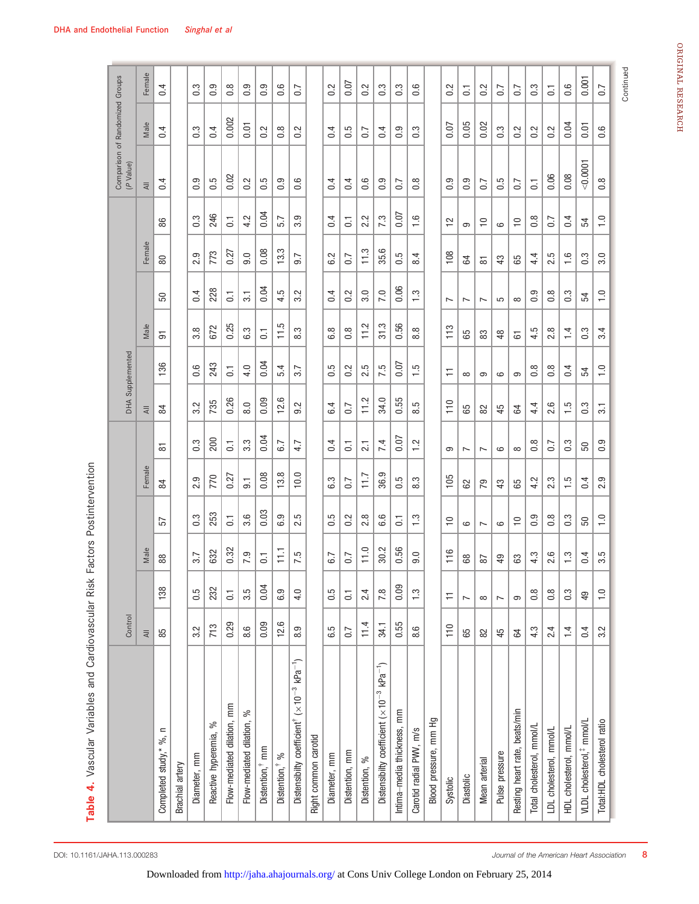| ֚֚֕֡         |               |  |
|--------------|---------------|--|
| $\vdots$     | 3.5           |  |
| $\mathbf{I}$ | $\frac{0}{1}$ |  |
| $\vdots$     | 3.2           |  |
|              |               |  |

Table 4. Vascular Variables and Cardiovascular Risk Factors Postintervention Table 4. Vascular Variables and Cardiovascular Risk Factors Postintervention

|                                                                                        | Control          |                  |                  |                  |                  |                          | DHA Supplemented |                   |                |                   |                  |                   | Comparison of Randomized Groups<br>(P Value) |                  |                  |
|----------------------------------------------------------------------------------------|------------------|------------------|------------------|------------------|------------------|--------------------------|------------------|-------------------|----------------|-------------------|------------------|-------------------|----------------------------------------------|------------------|------------------|
|                                                                                        | $\equiv$         |                  | Male             |                  | Female           |                          | $\equiv$         |                   | Male           |                   | Female           |                   | $\overline{\approx}$                         | Male             | Female           |
| Completed study,* %, n                                                                 | 85               | 138              | 88               | 57               | 84               | 5                        | 84               | 136               | $\overline{5}$ | 50                | 80               | 86                | $\overline{0.4}$                             | 0.4              | 0.4              |
| Brachial artery                                                                        |                  |                  |                  |                  |                  |                          |                  |                   |                |                   |                  |                   |                                              |                  |                  |
| Diameter, mm                                                                           | 3.2              | 0.5              | 3.7              | $\ddot{0}$       | တ<br>2.          | 0.3                      | 2<br>ຕ່          | 6.6               | œ<br>က         | 0.4               | 2.9              | $\overline{0}$    | $\overline{0}$ .                             | 0.3              | S<br>6           |
| Reactive hyperemia, %                                                                  | 713              | 232              | 632              | 253              | 770              | 200                      | 735              | 243               | 672            | 228               | 773              | 246               | 5.0                                          | 0.4              | တ္<br>ö          |
| Flow-mediated dilation, mm                                                             | 0.29             | $\overline{C}$   | 0.32             | $\overline{G}$   | 0.27             | $\overline{c}$           | 0.26             | $\overline{a}$    | 0.25           | $\overline{G}$    | 0.27             | $\overline{G}$    | 0.02                                         | 0.002            | $\frac{8}{10}$   |
| Flow-mediated dilation, %                                                              | $8.\overline{6}$ | 3.5              | 7.9              | 3.6              | $\overline{5}$   | $3.\overline{3}$         | 8.0              | 4.0               | 6.3            | $\overline{3}$    | 0.6              | 4.2               | 0.2                                          | 0.01             | တ္<br>ö          |
| Distention, <sup>†</sup> mm                                                            | 0.09             | 0.04             | $\overline{G}$   | 0.03             | 0.08             | 0.04                     | 0.09             | 0.04              | $\overline{C}$ | 0.04              | 0.08             | 0.04              | 0.5                                          | 0.2              | ၜ<br>ö           |
| Distention, <sup>†</sup> %                                                             | 12.6             | 6.9              | F                | 6.9              | 13.8             | 6.7                      | 12.6             | 5.4               | 11.5           | 4.5               | 13.3             | 5.7               | $0.\overline{9}$                             | $0.\overline{8}$ | $0.\overline{6}$ |
| Distensibilty coefficient <sup>†</sup> ( $\times$ 10 <sup>-3</sup> kPa <sup>-1</sup> ) | 8.9              | 4.0              | 7.5              | 2.5              | 10.0             | 4.7                      | 9.2              | 3.7               | 8.3            | 3.2               | 9.7              | 3.9               | 0.6                                          | 0.2              | $\overline{0}$ . |
| Right common carotid                                                                   |                  |                  |                  |                  |                  |                          |                  |                   |                |                   |                  |                   |                                              |                  |                  |
| Diameter, mm                                                                           | 6.5              | 0.5              | 6.7              | ت<br>6           | ς.<br>ق          | 0.4                      | 4<br>نه          | 5<br>ö            | $\infty$<br>نه | 0.4               | 2<br>.<br>ت      | 4<br>6            | $\overline{0.4}$                             | 0.4              | Ņ<br>6           |
| Distention, mm                                                                         | 0.7              | $\overline{G}$   | $\overline{0.7}$ | 0.2              | $\overline{0}$ . | $\overline{C}$           | 0.7              | 0.2               | $\frac{8}{2}$  | 0.2               | 0.7              | $\overline{G}$    | $\overline{0.4}$                             | 0.5              | 0.07             |
| Distention, %                                                                          | 11.4             | 2.4              | 11.0             | 2.8              | 717              | 21                       | 11.2             | 5<br>نہ           | 11.2           | 3.0               | 11.3             | Ņ<br>نہ           | 0.6                                          | 0.7              | 0.2              |
| Distensibily coefficient $(\times 10^{-3}$ kPa <sup>-1</sup> )                         | 34.1             | 7.8              | 30.2             | 6.6              | 36.9             | 7.4                      | 34.0             | 7.5               | 31.3           | 7.0               | 35.6             | 7.3               | 0.9                                          | 0.4              | $0.\overline{3}$ |
| Intima-media thickness, mm                                                             | 0.55             | 0.09             | 0.56             | $\overline{c}$   | ŗ.<br>ö          | 0.07                     | 0.55             | 0.07              | 0.56           | 0.06              | 0.5              | 0.07              | $\overline{0.7}$                             | 0.9              | $0.\overline{3}$ |
| Carotid radial PWV, m/s                                                                | 8.6              | 1.3              | 9.0              | $\frac{3}{1}$    | 8.3              | $\ddot{ }$               | 8.5              | $\frac{5}{1}$     | 8.8            | $\frac{3}{1}$     | 8.4              | $\frac{6}{1}$     | $0.\overline{8}$                             | $0.\overline{3}$ | ِ<br>ö           |
| Blood pressure, mm Hg                                                                  |                  |                  |                  |                  |                  |                          |                  |                   |                |                   |                  |                   |                                              |                  |                  |
| Systolic                                                                               | 110              | Ξ                | 116              | $\cong$          | 105              | တ                        | 110              | 는                 | 113            | $\overline{ }$    | 108              | $\tilde{c}$       | 0.9                                          | 0.07             | $\sim$<br>ö      |
| Diastolic                                                                              | 65               | Ľ                | 89               | 6                | 82               | $\overline{\phantom{0}}$ | 65               | $\infty$          | 65             | $\overline{ }$    | 54               | ၜ                 | 0.9                                          | 0.05             | $\overline{a}$   |
| Mean arterial                                                                          | $82$             | $\infty$         | 52               | $\overline{ }$   | 79               | $\overline{ }$           | 82               | ၜ                 | 83             | $\overline{ }$    | ᇮ                | $\supseteq$       | C <sub>2</sub>                               | 0.02             | 0.2              |
| Pulse pressure                                                                         | 45               | $\overline{ }$   | 49               | $\circ$          | 43               | $\circ$                  | 45               | $\circ$           | 48             | 5                 | 43               | 6                 | 0.5                                          | $0.\overline{3}$ | 0.7              |
| Resting heart rate, beats/min                                                          | 54               | ၜ                | යි               | $\supseteq$      | 65               | $\infty$                 | 54               | ၜ                 | 5              | $\infty$          | 65               | $\Rightarrow$     | $\overline{0}$ .                             | 0.2              | $\overline{0}$ . |
| Total cholesterol, mmol/L                                                              | 4.3              | $0.\overline{8}$ | 4.3              | 0.9              | 4.2              | 0.8                      | 4<br>4.          | 0.8               | 4.5            | $0.\overline{9}$  | 4.4              | 0.8               | $\overline{G}$                               | 0.2              | $0.\overline{3}$ |
| LDL cholesterol, mmol/L                                                                | 2.4              | 0.8              | 2.6              | $0.\overline{8}$ | 2.3              | $\overline{0.7}$         | 2.6              | 0.8               | 2.8            | $0.\overline{8}$  | 2.5              | 0.7               | 0.06                                         | 0.2              | $\overline{C}$   |
| HDL cholesterol, mmol/L                                                                | $\overline{1}$   | $0.\overline{3}$ | $\frac{3}{1}$    | $0.\overline{3}$ | $\ddot{5}$       | $0.\overline{3}$         | $\frac{5}{1}$    | 0.4               | $\overline{1}$ | 0.3               | $\frac{6}{1}$    | 0.4               | 0.08                                         | 0.04             | 0.6              |
| VLDL cholesterol, <sup>#</sup> mmol/L                                                  | 0.4              | 49               | 0.4              | 50               | 0.4              | 50                       | $0.\overline{3}$ | 54                | 0.3            | 54                | $0.\overline{3}$ | 54                | 00001                                        | 0.01             | 0.001            |
| Total:HDL cholesterol ratio                                                            | 3.2              | $\frac{0}{1}$    | 3.5              | $\frac{1}{1}$    | 2.9              | 0.9                      | $\overline{3}$   | $\overline{1}$ .0 | 3.4            | $\overline{1}$ .0 | 3.0              | $\overline{1}$ .0 | $0.\overline{8}$                             | 0.6              | 0.7              |

 $rac{e}{\pi}$ 

Continued

Continued

 $\overline{5}$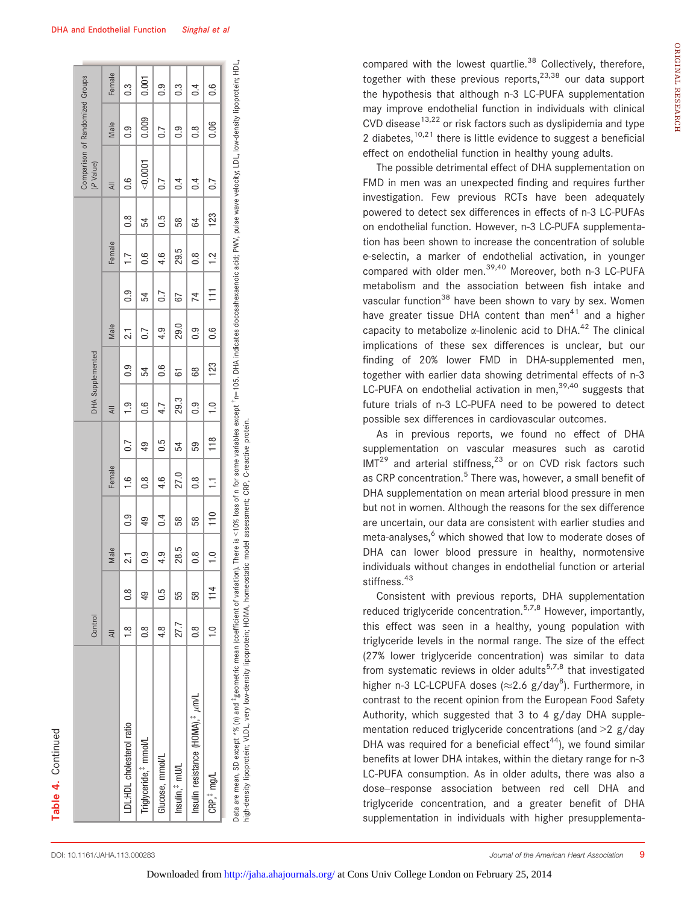| ä,     |
|--------|
|        |
|        |
|        |
|        |
| c<br>ì |
|        |
|        |
|        |
| ľ<br>٠ |

|                                              | Control         |                 |                |                  |               |     |                  | DHA Supplemented |                 |                  |                |               | Comparison of Randomized Groups<br>(P Value) |                  |          |
|----------------------------------------------|-----------------|-----------------|----------------|------------------|---------------|-----|------------------|------------------|-----------------|------------------|----------------|---------------|----------------------------------------------|------------------|----------|
|                                              | $\overline{AB}$ |                 | Male           |                  | Female        |     | $\overline{AB}$  |                  | Male            |                  | Female         |               | $\overline{4}$                               | Male             | Female   |
| LDL:HDL cholesterol ratio                    | $\frac{8}{1}$   | $\frac{8}{2}$   | $\overline{c}$ | $\overline{0}$ . | $\frac{0}{1}$ | 0.7 | $\frac{1}{2}$    | 0.9              | $\overline{21}$ | $\overline{0}$ . | 1.7            | $\frac{8}{2}$ | $\frac{6}{2}$                                | 0.9              | 0.3      |
| Triglyceride, <sup>#</sup> mmol/L            | $\frac{8}{2}$   | $\overline{49}$ | တ<br>ö         | 49               | 0.8           | 49  | 0.6              | 54               | 0.7             | 54               | 0.6            | 54            | < 0.0001                                     | 0.009            | 0.001    |
| Glucose, mmol/L                              | 4.8             | 0.5             | 4.9            | $\overline{0.4}$ | 4.6           | 0.5 | 4.7              | 0.6              | 4.9             | $\overline{0.7}$ | 4.6            | 0.5           | 0.7                                          | $\overline{0.7}$ | 0.9      |
| Insulin, <sup>#</sup> mU/L                   | 27.7            | 55              | 28.5           | 58               | 27.0          | 54  | 29.3             | 6                | 29.0            | 67               | 29.5           | 58            | $\overline{0.4}$                             | 0.9              | ი<br>0.3 |
| Insulin resistance (HOMA), <sup>‡</sup> µm/L | $\frac{8}{2}$   | 58              | œ<br>ö         | 58               | $\frac{8}{1}$ | 59  | $\overline{0}$ . | 8                | 0.9             | 74               | $\frac{8}{10}$ | 59            | 0.4                                          | $\frac{8}{1}$    | 0.4      |
| CRP, <sup>#</sup> mg/L                       | $\frac{1}{1}$   | 114             | $\overline{0}$ | 110              | Ξ             | 118 | $\frac{1}{1}$    | 123              | 0.6             | Ħ                | $\frac{2}{1}$  | 123           | $\overline{0.7}$                             | 0.06             | 0.6      |

n=105. DHA indicates docosahexaenoic acid; PWV, pulse wave velocity; LDL, low-density lipoprotein; HDL, -<br>^ Data are mean, SD except  ${}^*\%$  (n) and  ${}^*\!$ geometric mean (coefficient of variation). There is <10% loss of n for some variables except  ${}^*$ рака аге плеан, эр еждергаад на времлени нлеан росенисети от мананопу, тнеге в чтола ново от птот запавле в се<br>high-density lipoprotein; VLDL, very low-density lipoprotein; HOMA, homeostatic model assessment; CRP, C-react high-density lipoprotein; VLDL, very low-density lipoprotein; HOMA, homeostatic model assessment; CRP, C-reactive protein. compared with the lowest quartlie.<sup>38</sup> Collectively, therefore, together with these previous reports, $2^{3,38}$  our data support the hypothesis that although n-3 LC-PUFA supplementation may improve endothelial function in individuals with clinical CVD disease<sup>13,22</sup> or risk factors such as dyslipidemia and type 2 diabetes,<sup>10,21</sup> there is little evidence to suggest a beneficial effect on endothelial function in healthy young adults.

The possible detrimental effect of DHA supplementation on FMD in men was an unexpected finding and requires further investigation. Few previous RCTs have been adequately powered to detect sex differences in effects of n-3 LC-PUFAs on endothelial function. However, n-3 LC-PUFA supplementation has been shown to increase the concentration of soluble e-selectin, a marker of endothelial activation, in younger compared with older men.<sup>39,40</sup> Moreover, both n-3 LC-PUFA metabolism and the association between fish intake and vascular function<sup>38</sup> have been shown to vary by sex. Women have greater tissue DHA content than men<sup>41</sup> and a higher capacity to metabolize  $\alpha$ -linolenic acid to DHA.<sup>42</sup> The clinical implications of these sex differences is unclear, but our finding of 20% lower FMD in DHA-supplemented men, together with earlier data showing detrimental effects of n-3 LC-PUFA on endothelial activation in men,  $39,40$  suggests that future trials of n-3 LC-PUFA need to be powered to detect possible sex differences in cardiovascular outcomes.

As in previous reports, we found no effect of DHA supplementation on vascular measures such as carotid  $IMT<sup>29</sup>$  and arterial stiffness,<sup>23</sup> or on CVD risk factors such as CRP concentration.<sup>5</sup> There was, however, a small benefit of DHA supplementation on mean arterial blood pressure in men but not in women. Although the reasons for the sex difference are uncertain, our data are consistent with earlier studies and meta-analyses, $6$  which showed that low to moderate doses of DHA can lower blood pressure in healthy, normotensive individuals without changes in endothelial function or arterial stiffness.<sup>43</sup>

Consistent with previous reports, DHA supplementation reduced triglyceride concentration.<sup>5,7,8</sup> However, importantly, this effect was seen in a healthy, young population with triglyceride levels in the normal range. The size of the effect (27% lower triglyceride concentration) was similar to data from systematic reviews in older adults<sup>5,7,8</sup> that investigated higher n-3 LC-LCPUFA doses ( $\approx$ 2.6 g/day $^8$ ). Furthermore, in contrast to the recent opinion from the European Food Safety Authority, which suggested that 3 to 4 g/day DHA supplementation reduced triglyceride concentrations (and >2 g/day DHA was required for a beneficial effect<sup>44</sup>), we found similar benefits at lower DHA intakes, within the dietary range for n-3 LC-PUFA consumption. As in older adults, there was also a dose–response association between red cell DHA and triglyceride concentration, and a greater benefit of DHA supplementation in individuals with higher presupplementa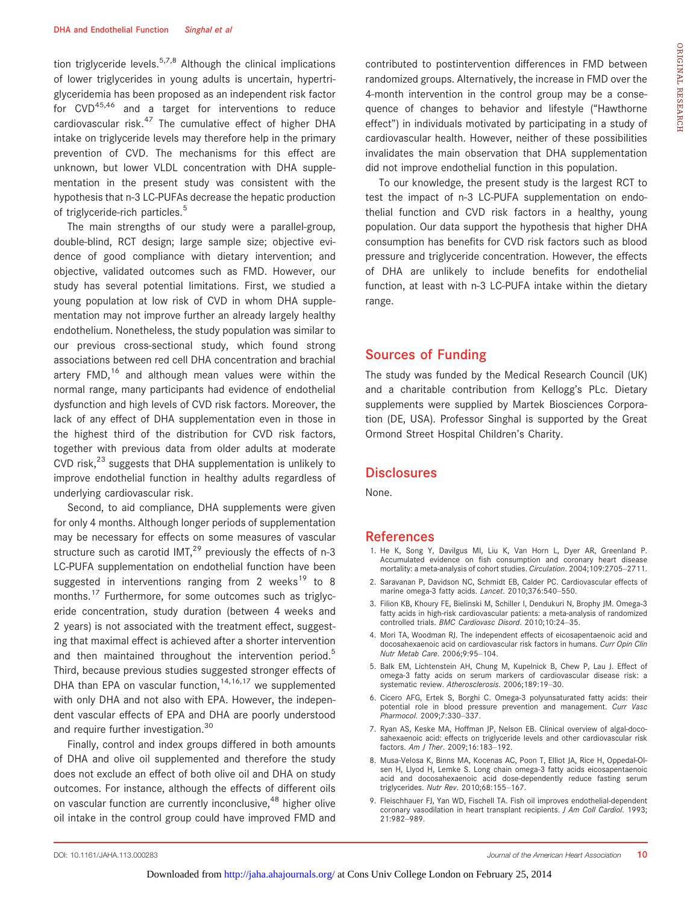tion triglyceride levels.<sup>5,7,8</sup> Although the clinical implications of lower triglycerides in young adults is uncertain, hypertriglyceridemia has been proposed as an independent risk factor for CVD<sup>45,46</sup> and a target for interventions to reduce cardiovascular risk. $47$  The cumulative effect of higher DHA intake on triglyceride levels may therefore help in the primary prevention of CVD. The mechanisms for this effect are unknown, but lower VLDL concentration with DHA supplementation in the present study was consistent with the hypothesis that n-3 LC-PUFAs decrease the hepatic production of triglyceride-rich particles.<sup>5</sup>

The main strengths of our study were a parallel-group, double-blind, RCT design; large sample size; objective evidence of good compliance with dietary intervention; and objective, validated outcomes such as FMD. However, our study has several potential limitations. First, we studied a young population at low risk of CVD in whom DHA supplementation may not improve further an already largely healthy endothelium. Nonetheless, the study population was similar to our previous cross-sectional study, which found strong associations between red cell DHA concentration and brachial artery FMD, $16$  and although mean values were within the normal range, many participants had evidence of endothelial dysfunction and high levels of CVD risk factors. Moreover, the lack of any effect of DHA supplementation even in those in the highest third of the distribution for CVD risk factors, together with previous data from older adults at moderate CVD risk, $^{23}$  suggests that DHA supplementation is unlikely to improve endothelial function in healthy adults regardless of underlying cardiovascular risk.

Second, to aid compliance, DHA supplements were given for only 4 months. Although longer periods of supplementation may be necessary for effects on some measures of vascular structure such as carotid IMT, $^{29}$  previously the effects of n-3 LC-PUFA supplementation on endothelial function have been suggested in interventions ranging from 2 weeks<sup>19</sup> to 8 months.<sup>17</sup> Furthermore, for some outcomes such as triglyceride concentration, study duration (between 4 weeks and 2 years) is not associated with the treatment effect, suggesting that maximal effect is achieved after a shorter intervention and then maintained throughout the intervention period.<sup>5</sup> Third, because previous studies suggested stronger effects of DHA than EPA on vascular function,  $14,16,17$  we supplemented with only DHA and not also with EPA. However, the independent vascular effects of EPA and DHA are poorly understood and require further investigation.<sup>30</sup>

Finally, control and index groups differed in both amounts of DHA and olive oil supplemented and therefore the study does not exclude an effect of both olive oil and DHA on study outcomes. For instance, although the effects of different oils on vascular function are currently inconclusive,<sup>48</sup> higher olive oil intake in the control group could have improved FMD and

contributed to postintervention differences in FMD between randomized groups. Alternatively, the increase in FMD over the 4-month intervention in the control group may be a consequence of changes to behavior and lifestyle ("Hawthorne effect") in individuals motivated by participating in a study of cardiovascular health. However, neither of these possibilities invalidates the main observation that DHA supplementation did not improve endothelial function in this population.

To our knowledge, the present study is the largest RCT to test the impact of n-3 LC-PUFA supplementation on endothelial function and CVD risk factors in a healthy, young population. Our data support the hypothesis that higher DHA consumption has benefits for CVD risk factors such as blood pressure and triglyceride concentration. However, the effects of DHA are unlikely to include benefits for endothelial function, at least with n-3 LC-PUFA intake within the dietary range.

# Sources of Funding

The study was funded by the Medical Research Council (UK) and a charitable contribution from Kellogg's PLc. Dietary supplements were supplied by Martek Biosciences Corporation (DE, USA). Professor Singhal is supported by the Great Ormond Street Hospital Children's Charity.

#### **Disclosures**

None.

#### References

- 1. He K, Song Y, Davilgus MI, Liu K, Van Horn L, Dyer AR, Greenland P. Accumulated evidence on fish consumption and coronary heart disease mortality: a meta-analysis of cohort studies. Circulation. 2004;109:2705–2711.
- 2. Saravanan P, Davidson NC, Schmidt EB, Calder PC. Cardiovascular effects of marine omega-3 fatty acids. Lancet. 2010;376:540–550.
- 3. Filion KB, Khoury FE, Bielinski M, Schiller I, Dendukuri N, Brophy JM. Omega-3 fatty acids in high-risk cardiovascular patients: a meta-analysis of randomized controlled trials. BMC Cardiovasc Disord. 2010;10:24–35.
- 4. Mori TA, Woodman RJ. The independent effects of eicosapentaenoic acid and docosahexaenoic acid on cardiovascular risk factors in humans. Curr Opin Clin Nutr Metab Care. 2006;9:95–104.
- 5. Balk EM, Lichtenstein AH, Chung M, Kupelnick B, Chew P, Lau J. Effect of omega-3 fatty acids on serum markers of cardiovascular disease risk: a systematic review. Atherosclerosis. 2006;189:19–30.
- 6. Cicero AFG, Ertek S, Borghi C. Omega-3 polyunsaturated fatty acids: their potential role in blood pressure prevention and management. Curr Vasc Pharmocol. 2009;7:330–337.
- 7. Ryan AS, Keske MA, Hoffman JP, Nelson EB. Clinical overview of algal-docosahexaenoic acid: effects on triglyceride levels and other cardiovascular risk factors. Am J Ther. 2009;16:183–192.
- 8. Musa-Velosa K, Binns MA, Kocenas AC, Poon T, Elliot JA, Rice H, Oppedal-Ol-sen H, Llyod H, Lemke S. Long chain omega-3 fatty acids eicosapentaenoic acid and docosahexaenoic acid dose-dependently reduce fasting serum triglycerides. Nutr Rev. 2010;68:155–167.
- 9. Fleischhauer FJ, Yan WD, Fischell TA. Fish oil improves endothelial-dependent coronary vasodilation in heart transplant recipients. J Am Coll Cardiol. 1993; 21:982–989.